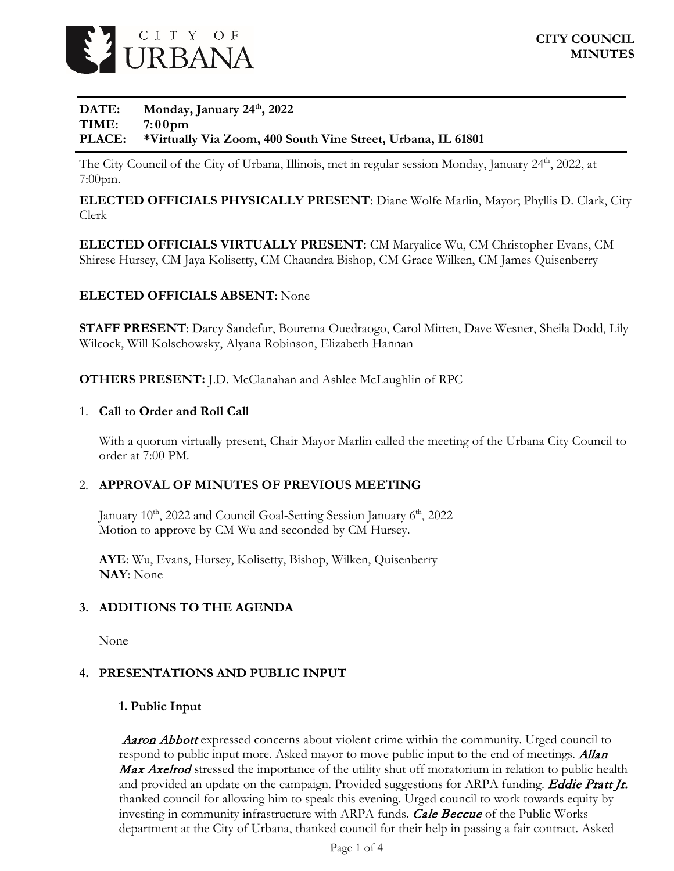

## DATE: Monday, January 24<sup>th</sup>, 2022 **TIME: 7:00pm PLACE: \*Virtually Via Zoom, 400 South Vine Street, Urbana, IL 61801**

The City Council of the City of Urbana, Illinois, met in regular session Monday, January 24<sup>th</sup>, 2022, at 7:00pm.

**ELECTED OFFICIALS PHYSICALLY PRESENT**: Diane Wolfe Marlin, Mayor; Phyllis D. Clark, City Clerk

**ELECTED OFFICIALS VIRTUALLY PRESENT:** CM Maryalice Wu, CM Christopher Evans, CM Shirese Hursey, CM Jaya Kolisetty, CM Chaundra Bishop, CM Grace Wilken, CM James Quisenberry

## **ELECTED OFFICIALS ABSENT**: None

**STAFF PRESENT**: Darcy Sandefur, Bourema Ouedraogo, Carol Mitten, Dave Wesner, Sheila Dodd, Lily Wilcock, Will Kolschowsky, Alyana Robinson, Elizabeth Hannan

**OTHERS PRESENT:** J.D. McClanahan and Ashlee McLaughlin of RPC

#### 1. **Call to Order and Roll Call**

With a quorum virtually present, Chair Mayor Marlin called the meeting of the Urbana City Council to order at 7:00 PM.

## 2. **APPROVAL OF MINUTES OF PREVIOUS MEETING**

January  $10^{th}$ , 2022 and Council Goal-Setting Session January  $6^{th}$ , 2022 Motion to approve by CM Wu and seconded by CM Hursey.

**AYE**: Wu, Evans, Hursey, Kolisetty, Bishop, Wilken, Quisenberry **NAY**: None

## **3. ADDITIONS TO THE AGENDA**

None

## **4. PRESENTATIONS AND PUBLIC INPUT**

## **1. Public Input**

**Aaron Abbott** expressed concerns about violent crime within the community. Urged council to respond to public input more. Asked mayor to move public input to the end of meetings. **Allan** Max Axelrod stressed the importance of the utility shut off moratorium in relation to public health and provided an update on the campaign. Provided suggestions for ARPA funding. **Eddie Pratt Jr.** thanked council for allowing him to speak this evening. Urged council to work towards equity by investing in community infrastructure with ARPA funds. *Cale Beccue* of the Public Works department at the City of Urbana, thanked council for their help in passing a fair contract. Asked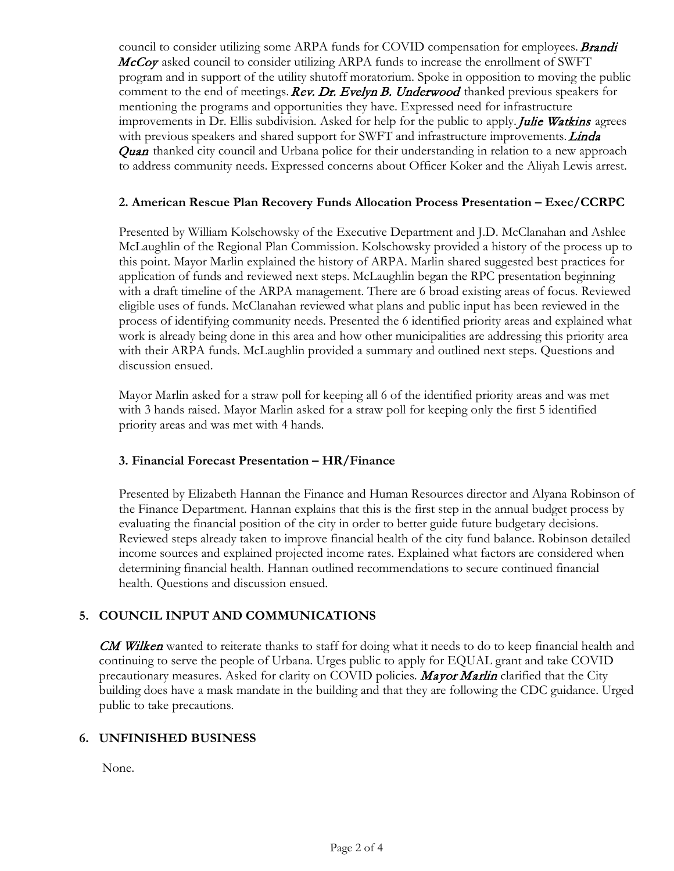council to consider utilizing some ARPA funds for COVID compensation for employees. **Brandi** McCoy asked council to consider utilizing ARPA funds to increase the enrollment of SWFT program and in support of the utility shutoff moratorium. Spoke in opposition to moving the public comment to the end of meetings. Rev. Dr. Evelyn B. Underwood thanked previous speakers for mentioning the programs and opportunities they have. Expressed need for infrastructure improvements in Dr. Ellis subdivision. Asked for help for the public to apply. *Julie Watkins* agrees with previous speakers and shared support for SWFT and infrastructure improvements. *Linda* **Quan** thanked city council and Urbana police for their understanding in relation to a new approach to address community needs. Expressed concerns about Officer Koker and the Aliyah Lewis arrest.

## **2. American Rescue Plan Recovery Funds Allocation Process Presentation – Exec/CCRPC**

Presented by William Kolschowsky of the Executive Department and J.D. McClanahan and Ashlee McLaughlin of the Regional Plan Commission. Kolschowsky provided a history of the process up to this point. Mayor Marlin explained the history of ARPA. Marlin shared suggested best practices for application of funds and reviewed next steps. McLaughlin began the RPC presentation beginning with a draft timeline of the ARPA management. There are 6 broad existing areas of focus. Reviewed eligible uses of funds. McClanahan reviewed what plans and public input has been reviewed in the process of identifying community needs. Presented the 6 identified priority areas and explained what work is already being done in this area and how other municipalities are addressing this priority area with their ARPA funds. McLaughlin provided a summary and outlined next steps. Questions and discussion ensued.

Mayor Marlin asked for a straw poll for keeping all 6 of the identified priority areas and was met with 3 hands raised. Mayor Marlin asked for a straw poll for keeping only the first 5 identified priority areas and was met with 4 hands.

## **3. Financial Forecast Presentation – HR/Finance**

Presented by Elizabeth Hannan the Finance and Human Resources director and Alyana Robinson of the Finance Department. Hannan explains that this is the first step in the annual budget process by evaluating the financial position of the city in order to better guide future budgetary decisions. Reviewed steps already taken to improve financial health of the city fund balance. Robinson detailed income sources and explained projected income rates. Explained what factors are considered when determining financial health. Hannan outlined recommendations to secure continued financial health. Questions and discussion ensued.

## **5. COUNCIL INPUT AND COMMUNICATIONS**

**CM Wilken** wanted to reiterate thanks to staff for doing what it needs to do to keep financial health and continuing to serve the people of Urbana. Urges public to apply for EQUAL grant and take COVID precautionary measures. Asked for clarity on COVID policies. **Mayor Marlin** clarified that the City building does have a mask mandate in the building and that they are following the CDC guidance. Urged public to take precautions.

## **6. UNFINISHED BUSINESS**

None.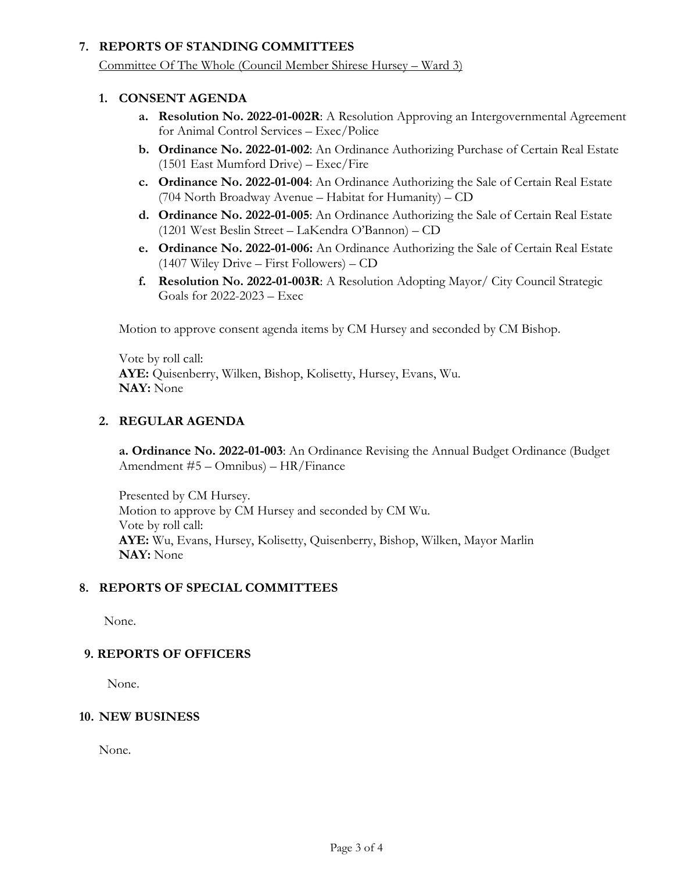## **7. REPORTS OF STANDING COMMITTEES**

Committee Of The Whole (Council Member Shirese Hursey – Ward 3)

## **1. CONSENT AGENDA**

- **a. Resolution No. 2022-01-002R**: A Resolution Approving an Intergovernmental Agreement for Animal Control Services – Exec/Police
- **b. Ordinance No. 2022-01-002**: An Ordinance Authorizing Purchase of Certain Real Estate (1501 East Mumford Drive) – Exec/Fire
- **c. Ordinance No. 2022-01-004**: An Ordinance Authorizing the Sale of Certain Real Estate (704 North Broadway Avenue – Habitat for Humanity) – CD
- **d. Ordinance No. 2022-01-005**: An Ordinance Authorizing the Sale of Certain Real Estate (1201 West Beslin Street – LaKendra O'Bannon) – CD
- **e. Ordinance No. 2022-01-006:** An Ordinance Authorizing the Sale of Certain Real Estate (1407 Wiley Drive – First Followers) – CD
- **f. Resolution No. 2022-01-003R**: A Resolution Adopting Mayor/ City Council Strategic Goals for 2022-2023 – Exec

Motion to approve consent agenda items by CM Hursey and seconded by CM Bishop.

Vote by roll call: **AYE:** Quisenberry, Wilken, Bishop, Kolisetty, Hursey, Evans, Wu. **NAY:** None

## **2. REGULAR AGENDA**

**a. Ordinance No. 2022-01-003**: An Ordinance Revising the Annual Budget Ordinance (Budget Amendment #5 – Omnibus) – HR/Finance

Presented by CM Hursey. Motion to approve by CM Hursey and seconded by CM Wu. Vote by roll call: **AYE:** Wu, Evans, Hursey, Kolisetty, Quisenberry, Bishop, Wilken, Mayor Marlin **NAY:** None

## **8. REPORTS OF SPECIAL COMMITTEES**

None.

## **9. REPORTS OF OFFICERS**

None.

## **10. NEW BUSINESS**

None.